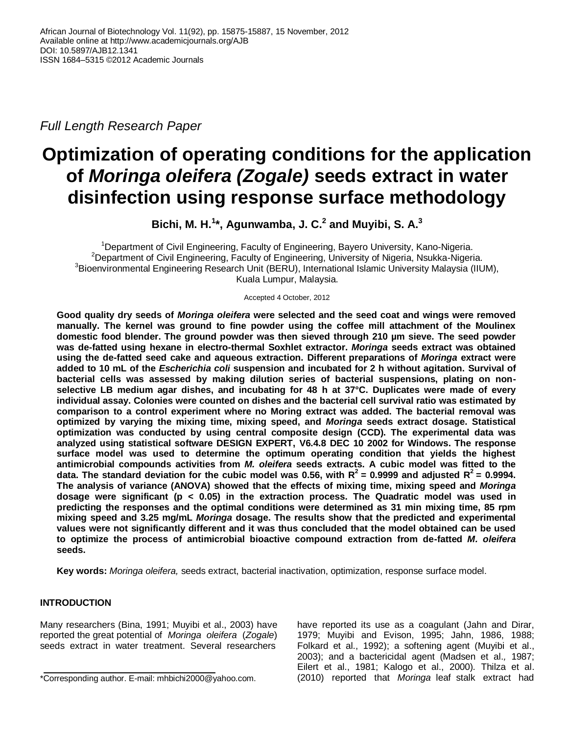*Full Length Research Paper*

# **Optimization of operating conditions for the application of** *Moringa oleifera (Zogale)* **seeds extract in water disinfection using response surface methodology**

**Bichi, M. H.<sup>1</sup> \*, Agunwamba, J. C.<sup>2</sup> and Muyibi, S. A.<sup>3</sup>**

<sup>1</sup>Department of Civil Engineering, Faculty of Engineering, Bayero University, Kano-Nigeria. <sup>2</sup>Department of Civil Engineering, Faculty of Engineering, University of Nigeria, Nsukka-Nigeria. <sup>3</sup>Bioenvironmental Engineering Research Unit (BERU), International Islamic University Malaysia (IIUM), Kuala Lumpur, Malaysia.

Accepted 4 October, 2012

**Good quality dry seeds of** *Moringa oleifera* **were selected and the seed coat and wings were removed manually. The kernel was ground to fine powder using the coffee mill attachment of the Moulinex domestic food blender. The ground powder was then sieved through 210 µm sieve. The seed powder was de-fatted using hexane in electro-thermal Soxhlet extractor.** *Moringa* **seeds extract was obtained using the de-fatted seed cake and aqueous extraction. Different preparations of** *Moringa* **extract were added to 10 mL of the** *Escherichia coli* **suspension and incubated for 2 h without agitation. Survival of bacterial cells was assessed by making dilution series of bacterial suspensions, plating on nonselective LB medium agar dishes, and incubating for 48 h at 37°C. Duplicates were made of every individual assay. Colonies were counted on dishes and the bacterial cell survival ratio was estimated by comparison to a control experiment where no Moring extract was added. The bacterial removal was optimized by varying the mixing time, mixing speed, and** *Moringa* **seeds extract dosage. Statistical optimization was conducted by using central composite design (CCD). The experimental data was analyzed using statistical software DESIGN EXPERT, V6.4.8 DEC 10 2002 for Windows. The response surface model was used to determine the optimum operating condition that yields the highest antimicrobial compounds activities from** *M. oleifera* **seeds extracts. A cubic model was fitted to the**  data. The standard deviation for the cubic model was 0.56, with  $R^2$  = 0.9999 and adjusted  $R^2$  = 0.9994. **The analysis of variance (ANOVA) showed that the effects of mixing time, mixing speed and** *Moringa* **dosage were significant (p < 0.05) in the extraction process. The Quadratic model was used in predicting the responses and the optimal conditions were determined as 31 min mixing time, 85 rpm mixing speed and 3.25 mg/mL** *Moringa* **dosage. The results show that the predicted and experimental values were not significantly different and it was thus concluded that the model obtained can be used to optimize the process of antimicrobial bioactive compound extraction from de-fatted** *M. oleifera* **seeds.** 

**Key words:** *Moringa oleifera,* seeds extract, bacterial inactivation, optimization, response surface model.

# **INTRODUCTION**

Many researchers (Bina, 1991; Muyibi et al., 2003) have reported the great potential of *Moringa oleifera* (*Zogale*) seeds extract in water treatment. Several researchers have reported its use as a coagulant (Jahn and Dirar, 1979; Muyibi and Evison, 1995; Jahn, 1986, 1988; Folkard et al., 1992); a softening agent (Muyibi et al., 2003); and a bactericidal agent (Madsen et al.*,* 1987; Eilert et al., 1981; Kalogo et al., 2000)*.* Thilza et al. (2010) reported that *Moringa* leaf stalk extract had

<sup>\*</sup>Corresponding author. E-mail: mhbichi2000@yahoo.com.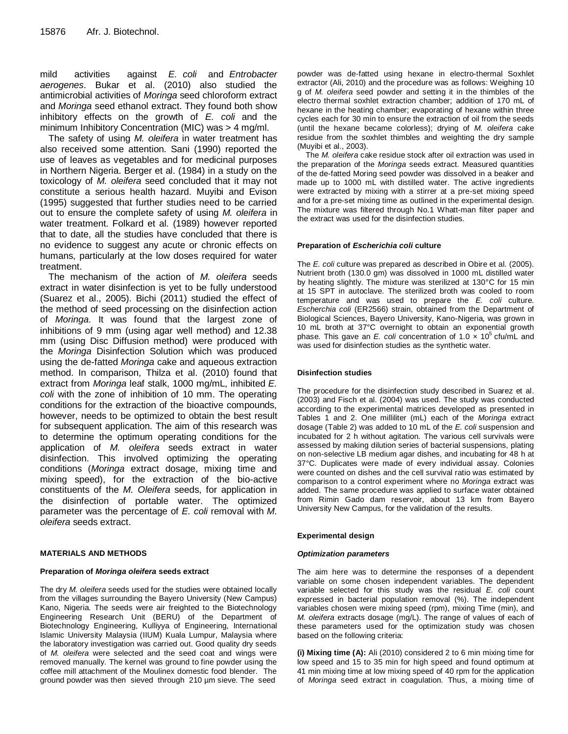mild activities against *E. coli* and *Entrobacter aerogenes*. Bukar et al. (2010) also studied the antimicrobial activities of *Moringa* seed chloroform extract and *Moringa* seed ethanol extract. They found both show inhibitory effects on the growth of *E. coli* and the minimum Inhibitory Concentration (MIC) was > 4 mg/ml.

The safety of using *M. oleifera* in water treatment has also received some attention. Sani (1990) reported the use of leaves as vegetables and for medicinal purposes in Northern Nigeria. Berger et al. (1984) in a study on the toxicology of *M. oleifera* seed concluded that it may not constitute a serious health hazard. Muyibi and Evison (1995) suggested that further studies need to be carried out to ensure the complete safety of using *M. oleifera* in water treatment. Folkard et al. (1989) however reported that to date, all the studies have concluded that there is no evidence to suggest any acute or chronic effects on humans, particularly at the low doses required for water treatment.

The mechanism of the action of *M. oleifera* seeds extract in water disinfection is yet to be fully understood (Suarez et al., 2005). Bichi (2011) studied the effect of the method of seed processing on the disinfection action of *Moringa*. It was found that the largest zone of inhibitions of 9 mm (using agar well method) and 12.38 mm (using Disc Diffusion method) were produced with the *Moringa* Disinfection Solution which was produced using the de-fatted *Moringa* cake and aqueous extraction method. In comparison, Thilza et al. (2010) found that extract from *Moringa* leaf stalk, 1000 mg/mL, inhibited *E. coli* with the zone of inhibition of 10 mm. The operating conditions for the extraction of the bioactive compounds, however, needs to be optimized to obtain the best result for subsequent application. The aim of this research was to determine the optimum operating conditions for the application of *M. oleifera* seeds extract in water disinfection. This involved optimizing the operating conditions (*Moringa* extract dosage, mixing time and mixing speed), for the extraction of the bio-active constituents of the *M. Oleifera* seeds, for application in the disinfection of portable water. The optimized parameter was the percentage of *E. coli* removal with *M. oleifera* seeds extract.

## **MATERIALS AND METHODS**

## **Preparation of** *Moringa oleifera* **seeds extract**

The dry *M. oleifera* seeds used for the studies were obtained locally from the villages surrounding the Bayero University (New Campus) Kano, Nigeria. The seeds were air freighted to the Biotechnology Engineering Research Unit (BERU) of the Department of Biotechnology Engineering, Kulliyya of Engineering, International Islamic University Malaysia (IIUM) Kuala Lumpur, Malaysia where the laboratory investigation was carried out. Good quality dry seeds of *M. oleifera* were selected and the seed coat and wings were removed manually. The kernel was ground to fine powder using the coffee mill attachment of the Moulinex domestic food blender. The ground powder was then sieved through 210 µm sieve. The seed

powder was de-fatted using hexane in electro-thermal Soxhlet extractor (Ali, 2010) and the procedure was as follows: Weighing 10 g of *M. oleifera* seed powder and setting it in the thimbles of the electro thermal soxhlet extraction chamber; addition of 170 mL of hexane in the heating chamber; evaporating of hexane within three cycles each for 30 min to ensure the extraction of oil from the seeds (until the hexane became colorless); drying of *M. oleifera* cake residue from the soxhlet thimbles and weighting the dry sample (Muyibi et al., 2003).

The *M. oleifera* cake residue stock after oil extraction was used in the preparation of the *Moringa* seeds extract. Measured quantities of the de-fatted Moring seed powder was dissolved in a beaker and made up to 1000 mL with distilled water. The active ingredients were extracted by mixing with a stirrer at a pre-set mixing speed and for a pre-set mixing time as outlined in the experimental design. The mixture was filtered through No.1 Whatt-man filter paper and the extract was used for the disinfection studies.

## **Preparation of** *Escherichia coli* **culture**

The *E. coli* culture was prepared as described in Obire et al. (2005). Nutrient broth (130.0 gm) was dissolved in 1000 mL distilled water by heating slightly. The mixture was sterilized at 130°C for 15 min at 15 SPT in autoclave. The sterilized broth was cooled to room temperature and was used to prepare the *E. coli* culture. *Escherchia coli* (ER2566) strain, obtained from the Department of Biological Sciences, Bayero University, Kano-Nigeria, was grown in 10 mL broth at 37°C overnight to obtain an exponential growth phase. This gave an *E. coli* concentration of 1.0 x 10<sup>5</sup> cfu/mL and was used for disinfection studies as the synthetic water.

## **Disinfection studies**

The procedure for the disinfection study described in Suarez et al. (2003) and Fisch et al. (2004) was used. The study was conducted according to the experimental matrices developed as presented in Tables 1 and 2. One milliliter (mL) each of the *Moringa* extract dosage (Table 2) was added to 10 mL of the *E. coli* suspension and incubated for 2 h without agitation. The various cell survivals were assessed by making dilution series of bacterial suspensions, plating on non-selective LB medium agar dishes, and incubating for 48 h at 37°C. Duplicates were made of every individual assay. Colonies were counted on dishes and the cell survival ratio was estimated by comparison to a control experiment where no *Moringa* extract was added. The same procedure was applied to surface water obtained from Rimin Gado dam reservoir, about 13 km from Bayero University New Campus, for the validation of the results.

## **Experimental design**

## *Optimization parameters*

The aim here was to determine the responses of a dependent variable on some chosen independent variables. The dependent variable selected for this study was the residual *E. coli* count expressed in bacterial population removal (%). The independent variables chosen were mixing speed (rpm), mixing Time (min), and *M. oleifera* extracts dosage (mg/L). The range of values of each of these parameters used for the optimization study was chosen based on the following criteria:

**(i) Mixing time (A):** Ali (2010) considered 2 to 6 min mixing time for low speed and 15 to 35 min for high speed and found optimum at 41 min mixing time at low mixing speed of 40 rpm for the application of *Moringa* seed extract in coagulation. Thus, a mixing time of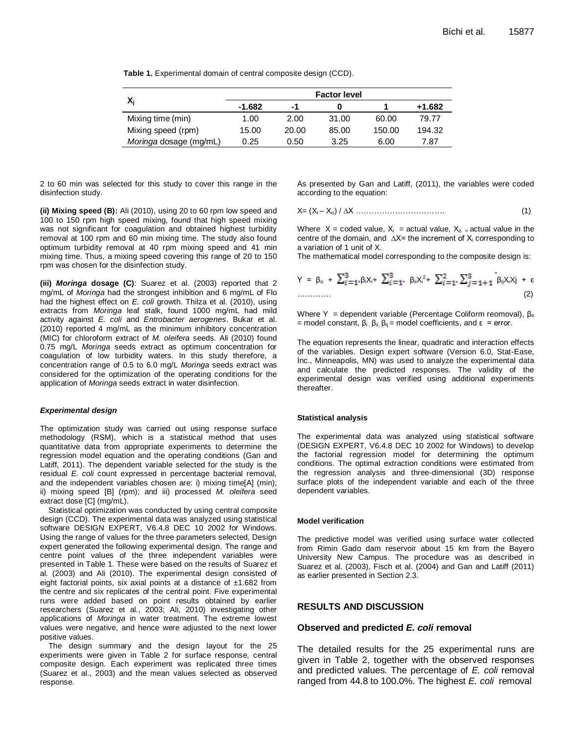|  | <b>Table 1.</b> Experimental domain of central composite design (CCD). |  |  |  |  |  |
|--|------------------------------------------------------------------------|--|--|--|--|--|
|--|------------------------------------------------------------------------|--|--|--|--|--|

|                        |          |       | <b>Factor level</b> |        |        |
|------------------------|----------|-------|---------------------|--------|--------|
|                        | $-1.682$ | -1    |                     |        | +1.682 |
| Mixing time (min)      | 1.00     | 2.00  | 31.00               | 60.00  | 79.77  |
| Mixing speed (rpm)     | 15.00    | 20.00 | 85.00               | 150.00 | 194.32 |
| Moringa dosage (mg/mL) | 0.25     | 0.50  | 3.25                | 6.00   | 7.87   |

2 to 60 min was selected for this study to cover this range in the disinfection study.

**(ii) Mixing speed (B):** Ali (2010), using 20 to 60 rpm low speed and 100 to 150 rpm high speed mixing, found that high speed mixing was not significant for coagulation and obtained highest turbidity removal at 100 rpm and 60 min mixing time. The study also found optimum turbidity removal at 40 rpm mixing speed and 41 min mixing time. Thus, a mixing speed covering this range of 20 to 150 rpm was chosen for the disinfection study.

**(iii)** *Moringa* **dosage (C)**: Suarez et al. (2003) reported that 2 mg/mL of *Moringa* had the strongest inhibition and 6 mg/mL of Flo had the highest effect on *E. coli* growth. Thilza et al. (2010), using extracts from *Moringa* leaf stalk, found 1000 mg/mL had mild activity against *E. coli* and *Entrobacter aerogenes*. Bukar et al. (2010) reported 4 mg/mL as the minimum inhibitory concentration (MIC) for chloroform extract of *M. oleifera* seeds. Ali (2010) found 0.75 mg/L *Moringa* seeds extract as optimum concentration for coagulation of low turbidity waters. In this study therefore, a concentration range of 0.5 to 6.0 mg/L *Moringa* seeds extract was considered for the optimization of the operating conditions for the application of *Moringa* seeds extract in water disinfection.

#### *Experimental design*

The optimization study was carried out using response surface methodology (RSM), which is a statistical method that uses quantitative data from appropriate experiments to determine the regression model equation and the operating conditions (Gan and Latiff, 2011). The dependent variable selected for the study is the residual *E. coli* count expressed in percentage bacterial removal, and the independent variables chosen are: i) mixing time[A] (min); ii) mixing speed [B] (rpm); and iii) processed *M. oleifera* seed extract dose [C] (mg/mL).

Statistical optimization was conducted by using central composite design (CCD). The experimental data was analyzed using statistical software DESIGN EXPERT, V6.4.8 DEC 10 2002 for Windows. Using the range of values for the three parameters selected, Design expert generated the following experimental design. The range and centre point values of the three independent variables were presented in Table 1. These were based on the results of Suarez et al. (2003) and Ali (2010). The experimental design consisted of eight factorial points, six axial points at a distance of  $\pm 1.682$  from the centre and six replicates of the central point. Five experimental runs were added based on point results obtained by earlier researchers (Suarez et al., 2003; Ali, 2010) investigating other applications of *Moringa* in water treatment. The extreme lowest values were negative, and hence were adjusted to the next lower positive values.

The design summary and the design layout for the 25 experiments were given in Table 2 for surface response, central composite design. Each experiment was replicated three times (Suarez et al., 2003) and the mean values selected as observed response.

As presented by Gan and Latiff, (2011), the variables were coded according to the equation:

$$
X = (X_i - X_0) / \Delta X \dots (1)
$$

Where  $X =$  coded value,  $X_i =$  actual value,  $X_0 =$  actual value in the centre of the domain, and  $\Delta X$ = the increment of  $X_i$  corresponding to a variation of 1 unit of X.

The mathematical model corresponding to the composite design is:

$$
Y = \beta_{0} + \sum_{i=1}^{3} \beta_{i} X_{i} + \sum_{i=1}^{3} \beta_{i} X_{i}^{2} + \sum_{i=1}^{2} \sum_{j=1+1}^{3} \beta_{ij} X_{i} X_{j} + \varepsilon
$$
  
............ (2)

Where Y = dependent variable (Percentage Coliform reomoval),  $\beta_0$ = model constant,  $\beta_i$ ,  $\beta_{ii}$ ,  $\beta_{ii}$  = model coefficients, and  $\epsilon$  = error.

The equation represents the linear, quadratic and interaction effects of the variables. Design expert software (Version 6.0, Stat-Ease, Inc., Minneapolis, MN) was used to analyze the experimental data and calculate the predicted responses. The validity of the experimental design was verified using additional experiments thereafter.

#### **Statistical analysis**

The experimental data was analyzed using statistical software (DESIGN EXPERT, V6.4.8 DEC 10 2002 for Windows) to develop the factorial regression model for determining the optimum conditions. The optimal extraction conditions were estimated from the regression analysis and three-dimensional (3D) response surface plots of the independent variable and each of the three dependent variables.

#### **Model verification**

The predictive model was verified using surface water collected from Rimin Gado dam reservoir about 15 km from the Bayero University New Campus. The procedure was as described in Suarez et al. (2003), Fisch et al. (2004) and Gan and Latiff (2011) as earlier presented in Section 2.3.

## **RESULTS AND DISCUSSION**

## **Observed and predicted** *E. coli* **removal**

The detailed results for the 25 experimental runs are given in Table 2, together with the observed responses and predicted values. The percentage of *E. coli* removal ranged from 44.8 to 100.0%. The highest *E. coli* removal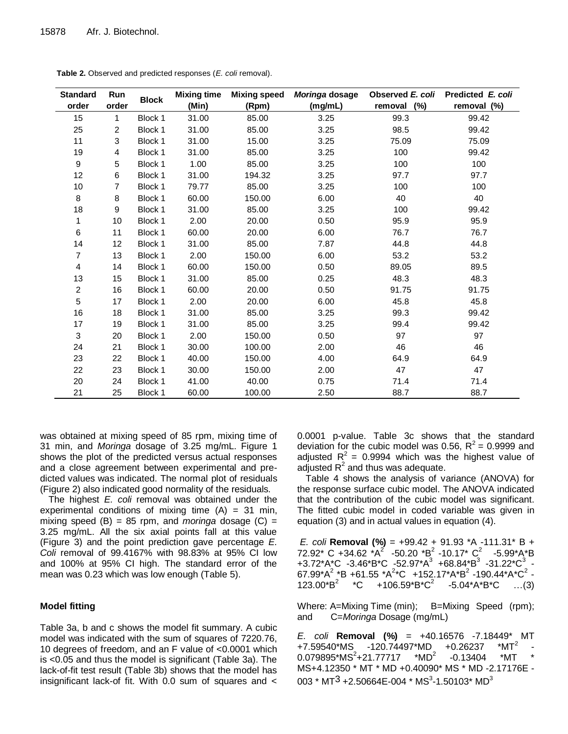| <b>Standard</b> | Run            |              | <b>Mixing time</b> | <b>Mixing speed</b> | Moringa dosage | Observed E. coli | Predicted E. coli |
|-----------------|----------------|--------------|--------------------|---------------------|----------------|------------------|-------------------|
| order           | order          | <b>Block</b> | (Min)              | (Rpm)               | (mg/mL)        | removal<br>(%)   | removal (%)       |
| 15              | 1              | Block 1      | 31.00              | 85.00               | 3.25           | 99.3             | 99.42             |
| 25              | $\overline{c}$ | Block 1      | 31.00              | 85.00               | 3.25           | 98.5             | 99.42             |
| 11              | 3              | Block 1      | 31.00              | 15.00               | 3.25           | 75.09            | 75.09             |
| 19              | 4              | Block 1      | 31.00              | 85.00               | 3.25           | 100              | 99.42             |
| 9               | 5              | Block 1      | 1.00               | 85.00               | 3.25           | 100              | 100               |
| 12              | 6              | Block 1      | 31.00              | 194.32              | 3.25           | 97.7             | 97.7              |
| 10              | 7              | Block 1      | 79.77              | 85.00               | 3.25           | 100              | 100               |
| 8               | 8              | Block 1      | 60.00              | 150.00              | 6.00           | 40               | 40                |
| 18              | 9              | Block 1      | 31.00              | 85.00               | 3.25           | 100              | 99.42             |
| 1               | 10             | Block 1      | 2.00               | 20.00               | 0.50           | 95.9             | 95.9              |
| 6               | 11             | Block 1      | 60.00              | 20.00               | 6.00           | 76.7             | 76.7              |
| 14              | 12             | Block 1      | 31.00              | 85.00               | 7.87           | 44.8             | 44.8              |
| 7               | 13             | Block 1      | 2.00               | 150.00              | 6.00           | 53.2             | 53.2              |
| 4               | 14             | Block 1      | 60.00              | 150.00              | 0.50           | 89.05            | 89.5              |
| 13              | 15             | Block 1      | 31.00              | 85.00               | 0.25           | 48.3             | 48.3              |
| $\overline{c}$  | 16             | Block 1      | 60.00              | 20.00               | 0.50           | 91.75            | 91.75             |
| $\mathbf 5$     | 17             | Block 1      | 2.00               | 20.00               | 6.00           | 45.8             | 45.8              |
| 16              | 18             | Block 1      | 31.00              | 85.00               | 3.25           | 99.3             | 99.42             |
| 17              | 19             | Block 1      | 31.00              | 85.00               | 3.25           | 99.4             | 99.42             |
| 3               | 20             | Block 1      | 2.00               | 150.00              | 0.50           | 97               | 97                |
| 24              | 21             | Block 1      | 30.00              | 100.00              | 2.00           | 46               | 46                |
| 23              | 22             | Block 1      | 40.00              | 150.00              | 4.00           | 64.9             | 64.9              |
| 22              | 23             | Block 1      | 30.00              | 150.00              | 2.00           | 47               | 47                |
| 20              | 24             | Block 1      | 41.00              | 40.00               | 0.75           | 71.4             | 71.4              |
| 21              | 25             | Block 1      | 60.00              | 100.00              | 2.50           | 88.7             | 88.7              |

**Table 2.** Observed and predicted responses (*E. coli* removal).

was obtained at mixing speed of 85 rpm, mixing time of 31 min, and *Moringa* dosage of 3.25 mg/mL. Figure 1 shows the plot of the predicted versus actual responses and a close agreement between experimental and predicted values was indicated. The normal plot of residuals (Figure 2) also indicated good normality of the residuals.

The highest *E. coli* removal was obtained under the experimental conditions of mixing time  $(A) = 31$  min, mixing speed  $(B) = 85$  rpm, and *moringa* dosage  $(C) =$ 3.25 mg/mL. All the six axial points fall at this value (Figure 3) and the point prediction gave percentage *E. Coli* removal of 99.4167% with 98.83% at 95% CI low and 100% at 95% CI high. The standard error of the mean was 0.23 which was low enough (Table 5).

## **Model fitting**

Table 3a, b and c shows the model fit summary. A cubic model was indicated with the sum of squares of 7220.76, 10 degrees of freedom, and an F value of <0.0001 which is <0.05 and thus the model is significant (Table 3a). The lack-of-fit test result (Table 3b) shows that the model has insignificant lack-of fit. With 0.0 sum of squares and < 0.0001 p-value. Table 3c shows that the standard deviation for the cubic model was 0.56,  $R^2$  = 0.9999 and adjusted  $R^2$  = 0.9994 which was the highest value of adjusted  $R^2$  and thus was adequate.

Table 4 shows the analysis of variance (ANOVA) for the response surface cubic model. The ANOVA indicated that the contribution of the cubic model was significant. The fitted cubic model in coded variable was given in equation (3) and in actual values in equation (4).

*E. coli* **Removal (%)** = +99.42 + 91.93 \*A -111.31\* B +  $72.92^*$  C +34.62  $^*A^2$  -50.20  $^*B^2$  -10.17\*  $C^2$  -5.99\*A\*B +3.72\*A\*C -3.46\*B\*C -52.97\*A<sup>3</sup> +68.84\*B<sup>3</sup> -31.22\*C<sup>3</sup> - $67.99^*$ A $^2$  \*B +61.55 \*A $^{2*}$ C +152.17\*A\*B $^2$  -190.44\*A\*C $^2$  - $123.00^*B^2$  \*C +106.59\*B\* $C^2$ -5.04\*A\*B\*C …(3)

Where: A=Mixing Time (min); B=Mixing Speed (rpm); and C=*Moringa* Dosage (mg/mL)

*E. coli* **Removal (%)** = +40.16576 -7.18449\* MT +7.59540\*MS -120.74497\*MD +0.26237  $*$ MT<sup>2</sup> -  $0.079895*MS<sup>2</sup>+21.77717$  \*MD<sup>2</sup> -0.13404 \*MT MS+4.12350 \* MT \* MD +0.40090\* MS \* MD -2.17176E - 003 \* MT $^{3}$  +2.50664E-004 \* MS $^{3}$ -1.50103\* MD $^{3}$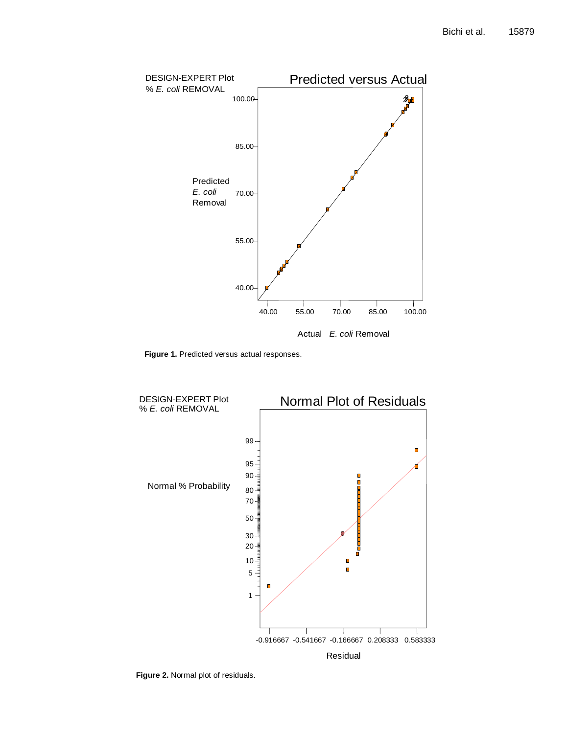

**Figure 1.** Predicted versus actual responses.



**Figure 2.** Normal plot of residuals.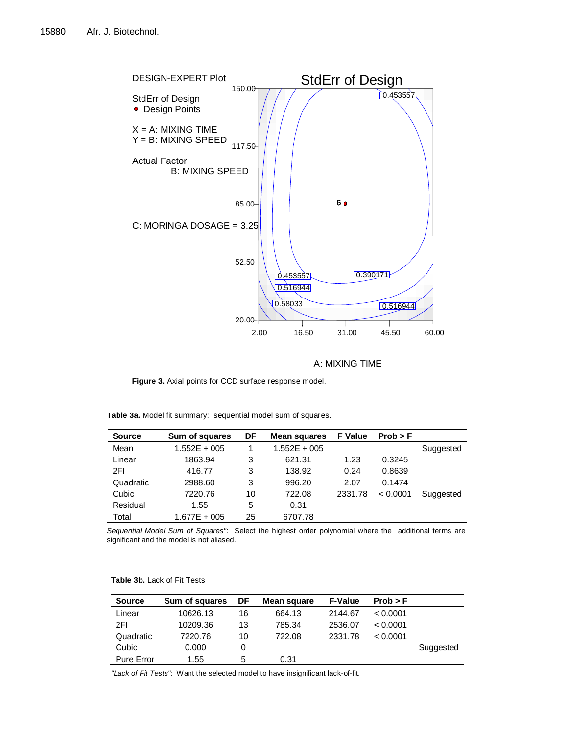

A: MIXING TIME

 $\overline{a}$ 

Figure 3. Axial points for CCD surface response model.

**Fable 3a.** Model fit summary: sequential model sum of squares.<br>
<u>Table 3a.</u> Model fit summary: sequential model sum of squares.

| <b>Source</b> | Sum of squares | DF | Mean squares   | <b>F</b> Value | Prob > F |           |
|---------------|----------------|----|----------------|----------------|----------|-----------|
| Mean          | $1.552E + 005$ |    | $1.552E + 005$ |                |          | Suggested |
| Linear        | 1863.94        | 3  | 621.31         | 1.23           | 0.3245   |           |
| 2FI           | 416.77         | 3  | 138.92         | 0.24           | 0.8639   |           |
| Quadratic     | 2988.60        | 3  | 996.20         | 2.07           | 0.1474   |           |
| Cubic         | 7220.76        | 10 | 722.08         | 2331.78        | < 0.0001 | Suggested |
| Residual      | 1.55           | 5  | 0.31           |                |          |           |
| Total         | $1.677E + 005$ | 25 | 6707.78        |                |          |           |

*Sequential Model Sum of Squares"*: Select the highest order polynomial where the additional terms are significant and the model is not aliased.

| <b>Source</b>     | Sum of squares | DF | Mean square | <b>F-Value</b> | Prob > F |           |
|-------------------|----------------|----|-------------|----------------|----------|-----------|
| Linear            | 10626.13       | 16 | 664.13      | 2144.67        | < 0.0001 |           |
| 2FI               | 10209.36       | 13 | 785.34      | 2536.07        | < 0.0001 |           |
| Quadratic         | 7220.76        | 10 | 722.08      | 2331.78        | < 0.0001 |           |
| Cubic             | 0.000          | 0  |             |                |          | Suggested |
| <b>Pure Error</b> | 1.55           | 5  | 0.31        |                |          |           |

**Table 3b.** Lack of Fit Tests

*"Lack of Fit Tests"*: Want the selected model to have insignificant lack-of-fit.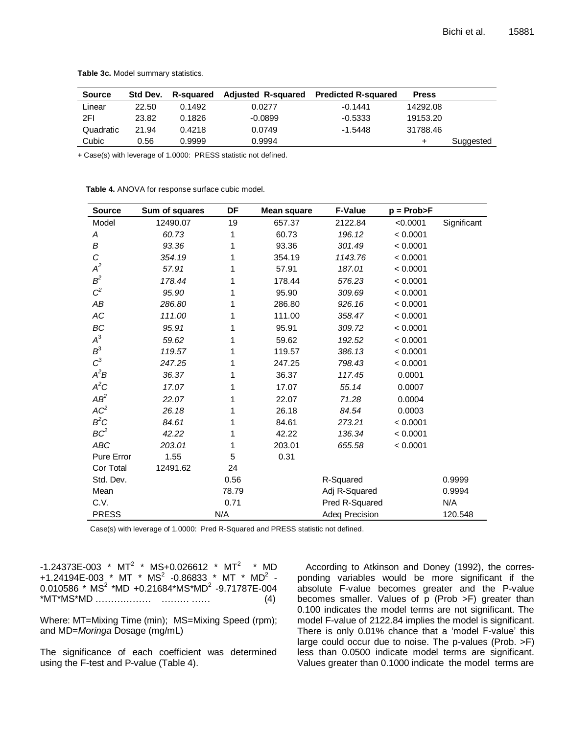| <b>Source</b> | Std Dev. | <b>R-sauared</b> | <b>Adjusted R-squared</b> | <b>Predicted R-squared</b> | <b>Press</b> |           |
|---------------|----------|------------------|---------------------------|----------------------------|--------------|-----------|
| Linear        | 22.50    | 0.1492           | 0.0277                    | $-0.1441$                  | 14292.08     |           |
| 2FI           | 23.82    | 0.1826           | $-0.0899$                 | $-0.5333$                  | 19153.20     |           |
| Quadratic     | 21.94    | 0.4218           | 0.0749                    | $-1.5448$                  | 31788.46     |           |
| Cubic         | 0.56     | 0.9999           | 0.9994                    |                            |              | Suggested |

**Table 3c.** Model summary statistics.

+ Case(s) with leverage of 1.0000: PRESS statistic not defined.

**Table 4.** ANOVA for response surface cubic model.

| <b>Source</b>   | Sum of squares | DF    | <b>Mean square</b> | <b>F-Value</b> | $p = Prob > F$ |             |
|-----------------|----------------|-------|--------------------|----------------|----------------|-------------|
| Model           | 12490.07       | 19    | 657.37             | 2122.84        | < 0.0001       | Significant |
| Α               | 60.73          | 1     | 60.73              | 196.12         | < 0.0001       |             |
| В               | 93.36          | 1     | 93.36              | 301.49         | < 0.0001       |             |
| C               | 354.19         | 1     | 354.19             | 1143.76        | < 0.0001       |             |
| $A^2$           | 57.91          | 1     | 57.91              | 187.01         | < 0.0001       |             |
| $B^2$           | 178.44         | 1     | 178.44             | 576.23         | < 0.0001       |             |
| $C^2$           | 95.90          | 1     | 95.90              | 309.69         | < 0.0001       |             |
| AB              | 286.80         | 1     | 286.80             | 926.16         | < 0.0001       |             |
| АC              | 111.00         | 1     | 111.00             | 358.47         | < 0.0001       |             |
| ВC              | 95.91          | 1     | 95.91              | 309.72         | < 0.0001       |             |
| $A^3$           | 59.62          | 1     | 59.62              | 192.52         | < 0.0001       |             |
| $B^3$           | 119.57         | 1     | 119.57             | 386.13         | < 0.0001       |             |
| $C^3$           | 247.25         | 1     | 247.25             | 798.43         | < 0.0001       |             |
| $A^2B$          | 36.37          | 1     | 36.37              | 117.45         | 0.0001         |             |
| $A^2C$          | 17.07          | 1     | 17.07              | 55.14          | 0.0007         |             |
| $AB^2$          | 22.07          | 1     | 22.07              | 71.28          | 0.0004         |             |
| AC <sup>2</sup> | 26.18          | 1     | 26.18              | 84.54          | 0.0003         |             |
| $B^2C$          | 84.61          | 1     | 84.61              | 273.21         | < 0.0001       |             |
| BC <sup>2</sup> | 42.22          | 1     | 42.22              | 136.34         | < 0.0001       |             |
| <b>ABC</b>      | 203.01         | 1     | 203.01             | 655.58         | < 0.0001       |             |
| Pure Error      | 1.55           | 5     | 0.31               |                |                |             |
| Cor Total       | 12491.62       | 24    |                    |                |                |             |
| Std. Dev.       |                | 0.56  |                    | R-Squared      |                | 0.9999      |
| Mean            |                | 78.79 |                    | Adj R-Squared  |                | 0.9994      |
| C.V.            |                | 0.71  |                    | Pred R-Squared |                | N/A         |
| <b>PRESS</b>    |                | N/A   |                    | Adeq Precision |                | 120.548     |

Case(s) with leverage of 1.0000: Pred R-Squared and PRESS statistic not defined.

-1.24373E-003 \*  $MT^2$  \* MS+0.026612 \*  $MT^2$  \* MD +1.24194E-003 \* MT \*  $MS^2$  -0.86833 \* MT \* MD<sup>2</sup> - $0.010586$  \* MS<sup>2</sup> \*MD +0.21684\*MS\*MD<sup>2</sup> -9.71787E-004 \*MT\*MS\*MD ……………… ……… …… (4)

Where: MT=Mixing Time (min); MS=Mixing Speed (rpm); and MD=*Moringa* Dosage (mg/mL)

The significance of each coefficient was determined using the F-test and P-value (Table 4).

According to Atkinson and Doney (1992), the corresponding variables would be more significant if the absolute F-value becomes greater and the P-value becomes smaller. Values of p (Prob >F) greater than 0.100 indicates the model terms are not significant. The model F-value of 2122.84 implies the model is significant. There is only 0.01% chance that a 'model F-value' this large could occur due to noise. The p-values (Prob. >F) less than 0.0500 indicate model terms are significant. Values greater than 0.1000 indicate the model terms are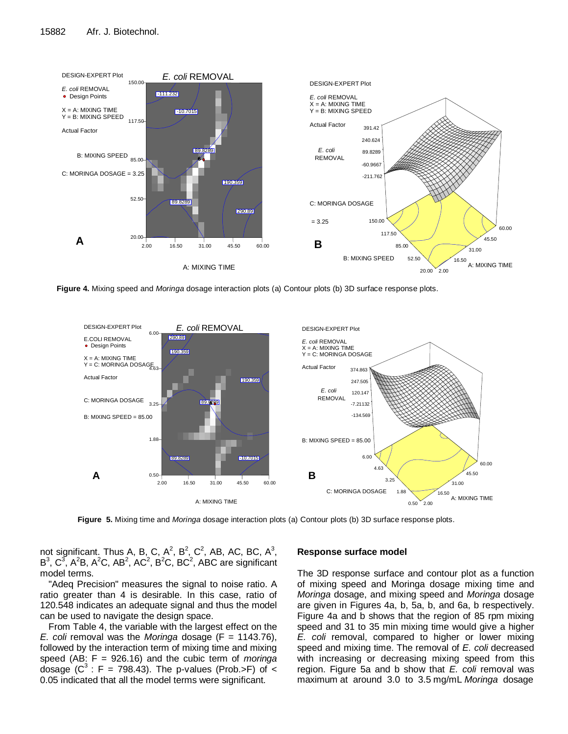

 **Figure 4.** Mixing speed and *Moringa* dosage interaction plots (a) Contour plots (b) 3D surface response plots.



 **Figure 5.** Mixing time and *Moringa* dosage interaction plots (a) Contour plots (b) 3D surface response plots.

**Figure 4a: Contour Plots for Mixing Time and Figure 4b: 3D Surface Response Plots for** 

not significant. Thus A, B, C, A<sup>2</sup>, B<sup>2</sup>, C<sup>2</sup>, AB, AC, BC, A<sup>3</sup>, Response surface model  $B^3$ ,  $C^3$ , A<sup>2</sup>B, A<sup>2</sup>C, AB<sup>2</sup>, AC<sup>2</sup>, B<sup>2</sup>C, BC<sup>2</sup>, ABC are significant model terms.

"Adeq Precision" measures the signal to noise ratio. A ratio greater than 4 is desirable. In this case, ratio of 120.548 indicates an adequate signal and thus the model can be used to navigate the design space.

From Table 4, the variable with the largest effect on the *E. coli* removal was the *Moringa* dosage (F = 1143.76), followed by the interaction term of mixing time and mixing speed (AB: F = 926.16) and the cubic term of *moringa* dosage ( $C^3$ : F = 798.43). The p-values (Prob.>F) of < 0.05 indicated that all the model terms were significant.

## **Response surface model**

The 3D response surface and contour plot as a function of mixing speed and Moringa dosage mixing time and *Moringa* dosage, and mixing speed and *Moringa* dosage are given in Figures 4a, b, 5a, b, and 6a, b respectively. Figure 4a and b shows that the region of 85 rpm mixing speed and 31 to 35 min mixing time would give a higher *E. coli* removal, compared to higher or lower mixing speed and mixing time. The removal of *E. coli* decreased with increasing or decreasing mixing speed from this region. Figure 5a and b show that *E. coli* removal was maximum at around 3.0 to 3.5 mg/mL *Moringa* dosage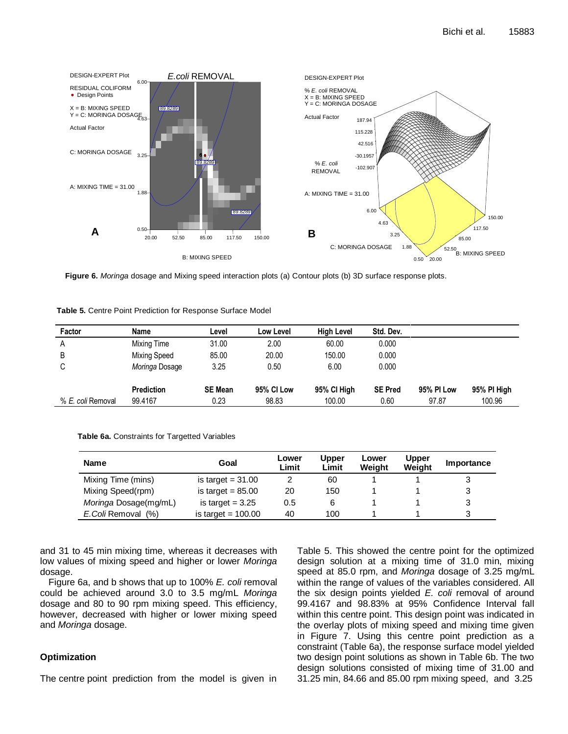

**Figure 6.** *Moringa* dosage and Mixing speed interaction plots (a) Contour plots (b) 3D surface response plots.

| <b>Table 5.</b> Centre Point Prediction for Response Surface Model |
|--------------------------------------------------------------------|
|--------------------------------------------------------------------|

| Factor            | Name              | Level          | Low Level         | <b>High Level</b> | Std. Dev.      |            |             |
|-------------------|-------------------|----------------|-------------------|-------------------|----------------|------------|-------------|
| A                 | Mixing Time       | 31.00          | 2.00              | 60.00             | 0.000          |            |             |
| B                 | Mixing Speed      | 85.00          | 20.00             | 150.00            | 0.000          |            |             |
| С                 | Moringa Dosage    | 3.25           | 0.50              | 6.00              | 0.000          |            |             |
|                   | <b>Prediction</b> | <b>SE Mean</b> | <b>95% CI Low</b> | 95% CI High       | <b>SE Pred</b> | 95% PI Low | 95% PI High |
| % E. coli Removal | 99.4167           | 0.23           | 98.83             | 100.00            | 0.60           | 97.87      | 100.96      |

**Table 6a.** Constraints for Targetted Variables

| <b>Name</b>            | Goal                 | Lower<br>Limit | <b>Jpper</b><br>Limit | Lower<br>Weiaht | <b>Upper</b><br>Weight | Importance |
|------------------------|----------------------|----------------|-----------------------|-----------------|------------------------|------------|
| Mixing Time (mins)     | is target $= 31.00$  |                | 60                    |                 |                        |            |
| Mixing Speed(rpm)      | is target $= 85.00$  | 20             | 150                   |                 |                        | 3          |
| Moringa Dosage(mg/mL)  | is target $= 3.25$   | 0.5            | 6                     |                 |                        | 3          |
| (% )<br>E.Coli Removal | is target $= 100.00$ | 40             | 100                   |                 |                        | 3          |

and 31 to 45 min mixing time, whereas it decreases with low values of mixing speed and higher or lower *Moringa* dosage.

Figure 6a, and b shows that up to 100% *E. coli* removal could be achieved around 3.0 to 3.5 mg/mL *Moringa* dosage and 80 to 90 rpm mixing speed. This efficiency, however, decreased with higher or lower mixing speed and *Moringa* dosage.

## **Optimization**

The centre point prediction from the model is given in

Table 5. This showed the centre point for the optimized design solution at a mixing time of 31.0 min, mixing speed at 85.0 rpm, and *Moringa* dosage of 3.25 mg/mL within the range of values of the variables considered. All the six design points yielded *E. coli* removal of around 99.4167 and 98.83% at 95% Confidence Interval fall within this centre point. This design point was indicated in the overlay plots of mixing speed and mixing time given in Figure 7. Using this centre point prediction as a constraint (Table 6a), the response surface model yielded two design point solutions as shown in Table 6b. The two design solutions consisted of mixing time of 31.00 and 31.25 min, 84.66 and 85.00 rpm mixing speed, and 3.25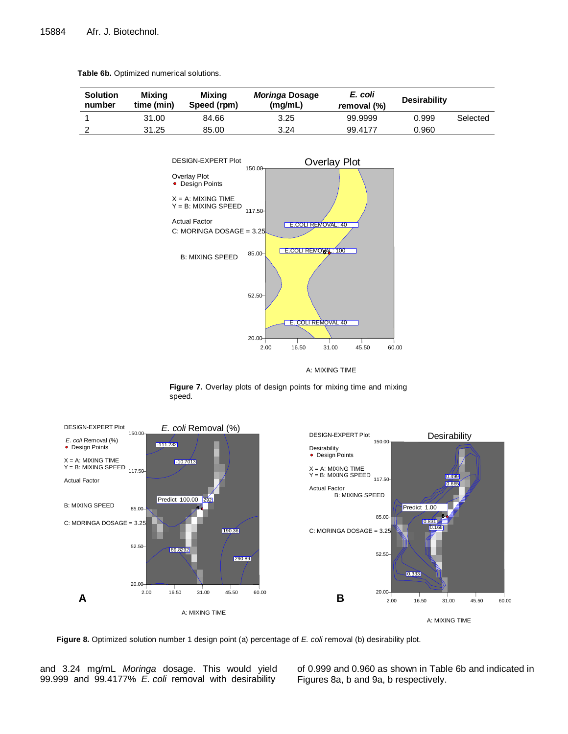|  |  | Table 6b. Optimized numerical solutions. |
|--|--|------------------------------------------|
|--|--|------------------------------------------|

| <b>Solution</b><br>number | Mixing<br>time (min) | Mixing<br>Speed (rpm) | Moringa Dosage<br>(mg/mL) | E. coli<br>removal (%) | <b>Desirability</b> |          |
|---------------------------|----------------------|-----------------------|---------------------------|------------------------|---------------------|----------|
|                           | 31.00                | 84.66                 | 3.25                      | 99.9999                | 0.999               | Selected |
|                           | 31.25                | 85.00                 | 3.24                      | 99.4177                | 0.960               |          |



A: MIXING TIME

**Figure 7.** Overlay plots of design points for mixing time and mixing speed.



**Figure 8.** Optimized solution number 1 design point (a) percentage of *E. coli* removal (b) desirability plot.

and 3.24 mg/mL *Moringa* dosage. This would yield 99.999 and 99.4177% *E. coli* removal with desirability

of 0.999 and 0.960 as shown in Table 6b and indicated in Figures 8a, b and 9a, b respectively.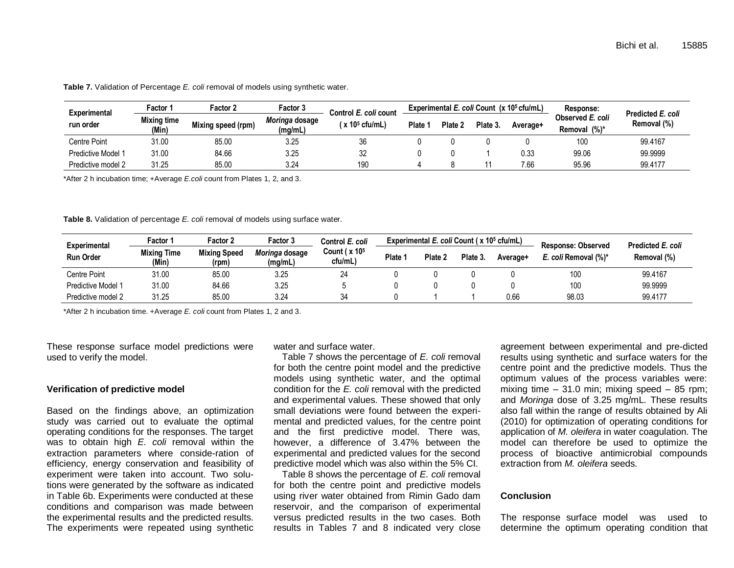| Experimental<br>run order | Factor 1                    | <b>Factor 2</b><br>Factor 3 |                           | Control E. coli count     | Experimental E. coli Count (x 10 <sup>5</sup> cfu/mL) |        |          |          | Response:                        | Predicted E. coli |
|---------------------------|-----------------------------|-----------------------------|---------------------------|---------------------------|-------------------------------------------------------|--------|----------|----------|----------------------------------|-------------------|
|                           | <b>Mixing time</b><br>(Min) | Mixing speed (rpm)          | Moringa dosage<br>(mg/mL) | (x 10 <sup>5</sup> cfu/mL | <b>Plate</b>                                          | Plate: | Plate 3. | Average+ | Observed E. coli<br>Removal (%)* | Removal (%)       |
| Centre Point              | 31.00                       | 85.00                       | 3.25                      | 36                        |                                                       |        |          |          | 100                              | 99.4167           |
| Predictive Model 1        | 31.00                       | 84.66                       | 3.25                      | 32                        |                                                       |        |          | 0.33     | 99.06                            | 99.9999           |
| Predictive model 2        | 31.25                       | 85.00                       | 3.24                      | 190                       |                                                       |        |          | 7.66     | 95.96                            | 99.4177           |

**Table 7.** Validation of Percentage *E. coli* removal of models using synthetic water.

\*After 2 h incubation time; +Average *E.coli* count from Plates 1, 2, and 3.

**Table 8.** Validation of percentage *E. coli* removal of models using surface water.

| Experimental<br><b>Run Order</b> | <b>Factor</b> 1             | <b>Factor 2</b>              | Factor 3                  | Control E. coli                        | Experimental E. coli Count (x 10 <sup>5</sup> cfu/mL) |         |          |          | <b>Response: Observed</b> | Predicted E. coli |
|----------------------------------|-----------------------------|------------------------------|---------------------------|----------------------------------------|-------------------------------------------------------|---------|----------|----------|---------------------------|-------------------|
|                                  | <b>Mixing Time</b><br>(Min) | <b>Mixing Speed</b><br>(rpm) | Moringa dosage<br>(mq/mL) | Count ( $x$ 10 <sup>5</sup><br>cfu/mL) | Plate 1                                               | Plate 2 | Plate 3. | Average+ | E. coli Removal (%)*      | Removal (%)       |
| Centre Point                     | 31.00                       | 85.00                        | 3.25                      | 24                                     |                                                       |         |          |          | 100                       | 99.4167           |
| Predictive Model 1               | 31.00                       | 84.66                        | 3.25                      |                                        |                                                       |         |          |          | 100                       | 99.9999           |
| Predictive model 2               | 31.25                       | 85.00                        | 3.24                      | 34                                     |                                                       |         |          | 0.66     | 98.03                     | 99.4177           |

\*After 2 h incubation time. +Average *E. coli* count from Plates 1, 2 and 3.

These response surface model predictions were used to verify the model.

## **Verification of predictive model**

Based on the findings above, an optimization study was carried out to evaluate the optimal operating conditions for the responses. The target was to obtain high *E. coli* removal within the extraction parameters where conside-ration of efficiency, energy conservation and feasibility of experiment were taken into account. Two solutions were generated by the software as indicated in Table 6b. Experiments were conducted at these conditions and comparison was made between the experimental results and the predicted results. The experiments were repeated using synthetic

water and surface water.

Table 7 shows the percentage of *E. coli* removal for both the centre point model and the predictive models using synthetic water, and the optimal condition for the *E. coli* removal with the predicted and experimental values. These showed that only small deviations were found between the experimental and predicted values, for the centre point and the first predictive model. There was, however, a difference of 3.47% between the experimental and predicted values for the second predictive model which was also within the 5% CI.

Table 8 shows the percentage of *E. coli* removal for both the centre point and predictive models using river water obtained from Rimin Gado dam reservoir, and the comparison of experimental versus predicted results in the two cases. Both results in Tables 7 and 8 indicated very close

agreement between experimental and pre-dicted results using synthetic and surface waters for the centre point and the predictive models. Thus the optimum values of the process variables were: mixing time  $-31.0$  min; mixing speed  $-85$  rpm; and *Moringa* dose of 3.25 mg/mL. These results also fall within the range of results obtained by Ali (2010) for optimization of operating conditions for application of *M. oleifera* in water coagulation. The model can therefore be used to optimize the process of bioactive antimicrobial compounds extraction from *M. oleifera* seeds.

## **Conclusion**

The response surface model was used to determine the optimum operating condition that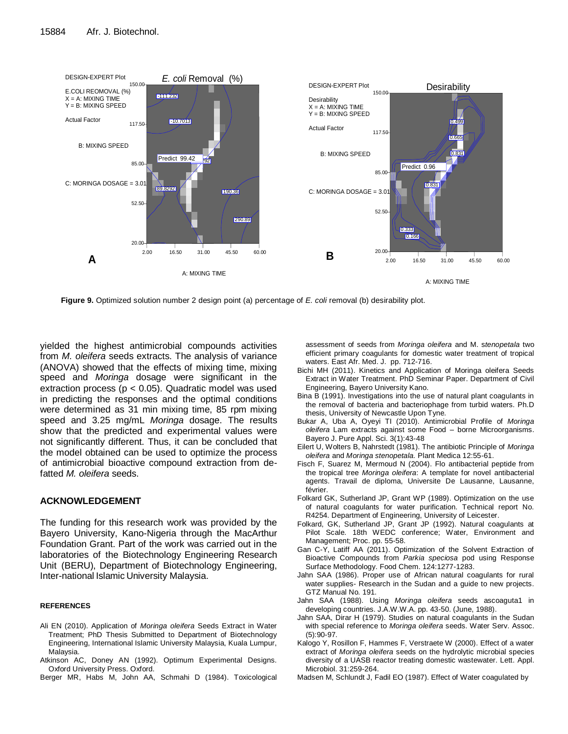

**Figure 9.** Optimized solution number 2 design point (a) percentage of *E. coli* removal (b) desirability plot.

yielded the highest antimicrobial compounds activities from *M. oleifera* seeds extracts. The analysis of variance (ANOVA) showed that the effects of mixing time, mixing speed and *Moringa* dosage were significant in the extraction process ( $p < 0.05$ ). Quadratic model was used in predicting the responses and the optimal conditions were determined as 31 min mixing time, 85 rpm mixing speed and 3.25 mg/mL *Moringa* dosage. The results show that the predicted and experimental values were not significantly different. Thus, it can be concluded that the model obtained can be used to optimize the process of antimicrobial bioactive compound extraction from defatted *M. oleifera* seeds.

## **ACKNOWLEDGEMENT**

The funding for this research work was provided by the Bayero University, Kano-Nigeria through the MacArthur Foundation Grant. Part of the work was carried out in the laboratories of the Biotechnology Engineering Research Unit (BERU), Department of Biotechnology Engineering, Inter-national Islamic University Malaysia.

## **REFERENCES**

- Ali EN (2010). Application of *Moringa oleifera* Seeds Extract in Water Treatment; PhD Thesis Submitted to Department of Biotechnology Engineering, International Islamic University Malaysia, Kuala Lumpur, Malaysia.
- Atkinson AC, Doney AN (1992). Optimum Experimental Designs. Oxford University Press. Oxford.
- Berger MR, Habs M, John AA, Schmahi D (1984). Toxicological

assessment of seeds from *Moringa oleifera* and M. s*tenopetala* two efficient primary coagulants for domestic water treatment of tropical waters. East Afr. Med. J. pp. 712-716.

- Bichi MH (2011). Kinetics and Application of Moringa oleifera Seeds Extract in Water Treatment. PhD Seminar Paper. Department of Civil Engineering, Bayero University Kano.
- Bina B (1991). Investigations into the use of natural plant coagulants in the removal of bacteria and bacteriophage from turbid waters. Ph.D thesis, University of Newcastle Upon Tyne.
- Bukar A, Uba A, Oyeyi TI (2010). Antimicrobial Profile of *Moringa oleifera* Lam extracts against some Food – borne Microorganisms. Bayero J. Pure Appl. Sci. 3(1):43-48
- Eilert U, Wolters B, Nahrstedt (1981). The antibiotic Principle of *Moringa oleifera* and *Moringa stenopetala.* Plant Medica 12:55-61.
- Fisch F, Suarez M, Mermoud N (2004). Flo antibacterial peptide from the tropical tree *Moringa oleifera*: A template for novel antibacterial agents. Travail de diploma, Universite De Lausanne, Lausanne, février.
- Folkard GK, Sutherland JP, Grant WP (1989). Optimization on the use of natural coagulants for water purification. Technical report No. R4254. Department of Engineering, University of Leicester.
- Folkard, GK, Sutherland JP, Grant JP (1992). Natural coagulants at Pilot Scale. 18th WEDC conference; Water, Environment and Management; Proc. pp. 55-58.
- Gan C-Y, Latiff AA (2011). Optimization of the Solvent Extraction of Bioactive Compounds from *Parkia speciosa* pod using Response Surface Methodology. Food Chem. 124:1277-1283.
- Jahn SAA (1986). Proper use of African natural coagulants for rural water supplies- Research in the Sudan and a guide to new projects. GTZ Manual No. 191.
- Jahn SAA (1988). Using *Moringa oleifera* seeds ascoaguta1 in developing countries. J.A.W.W.A. pp. 43-50. (June, 1988).
- Jahn SAA, Dirar H (1979). Studies on natural coagulants in the Sudan with special reference to *Moringa oleifera* seeds. Water Serv. Assoc. (5):90-97.
- Kalogo Y, Rosillon F, Hammes F, Verstraete W (2000). Effect of a water extract of *Moringa oleifera* seeds on the hydrolytic microbial species diversity of a UASB reactor treating domestic wastewater. Lett. Appl. Microbiol. 31:259-264.
- Madsen M, Schlundt J, Fadil EO (1987). Effect of Water coagulated by